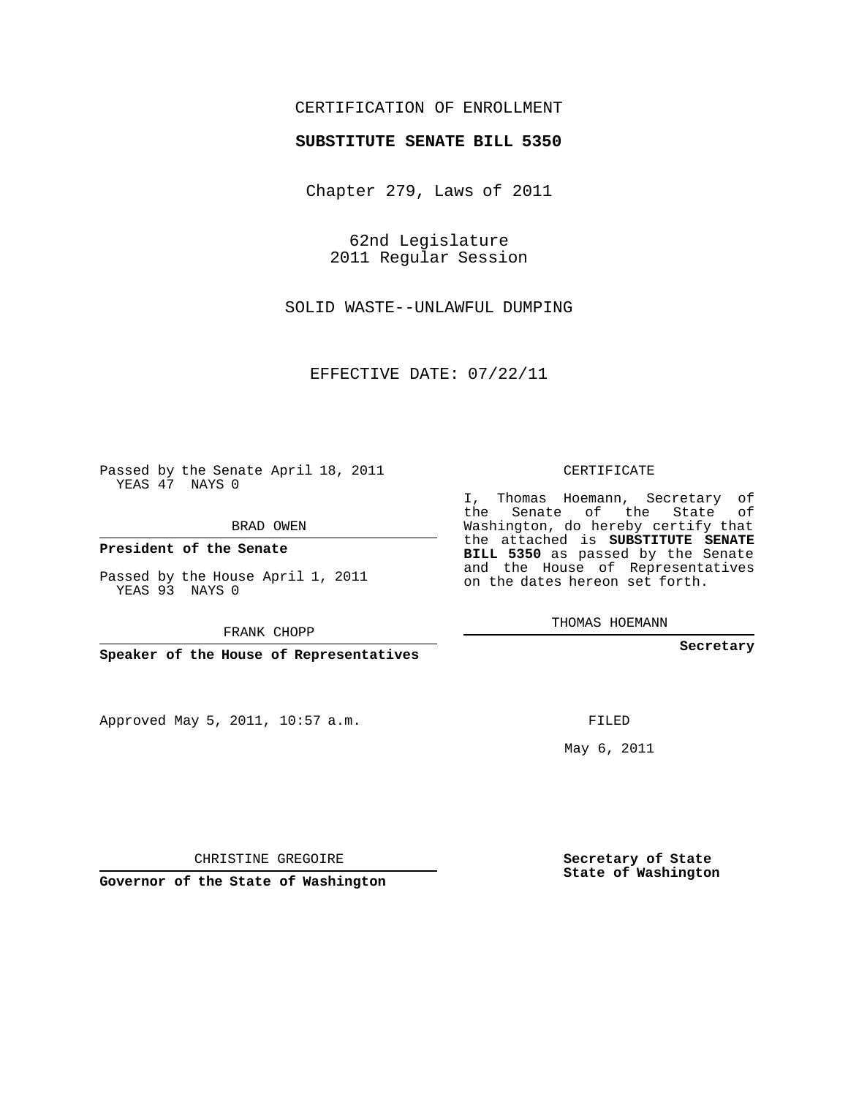## CERTIFICATION OF ENROLLMENT

## **SUBSTITUTE SENATE BILL 5350**

Chapter 279, Laws of 2011

62nd Legislature 2011 Regular Session

SOLID WASTE--UNLAWFUL DUMPING

EFFECTIVE DATE: 07/22/11

Passed by the Senate April 18, 2011 YEAS 47 NAYS 0

BRAD OWEN

**President of the Senate**

Passed by the House April 1, 2011 YEAS 93 NAYS 0

FRANK CHOPP

**Speaker of the House of Representatives**

Approved May 5, 2011, 10:57 a.m.

CERTIFICATE

I, Thomas Hoemann, Secretary of the Senate of the State of Washington, do hereby certify that the attached is **SUBSTITUTE SENATE BILL 5350** as passed by the Senate and the House of Representatives on the dates hereon set forth.

THOMAS HOEMANN

**Secretary**

FILED

May 6, 2011

**Secretary of State State of Washington**

CHRISTINE GREGOIRE

**Governor of the State of Washington**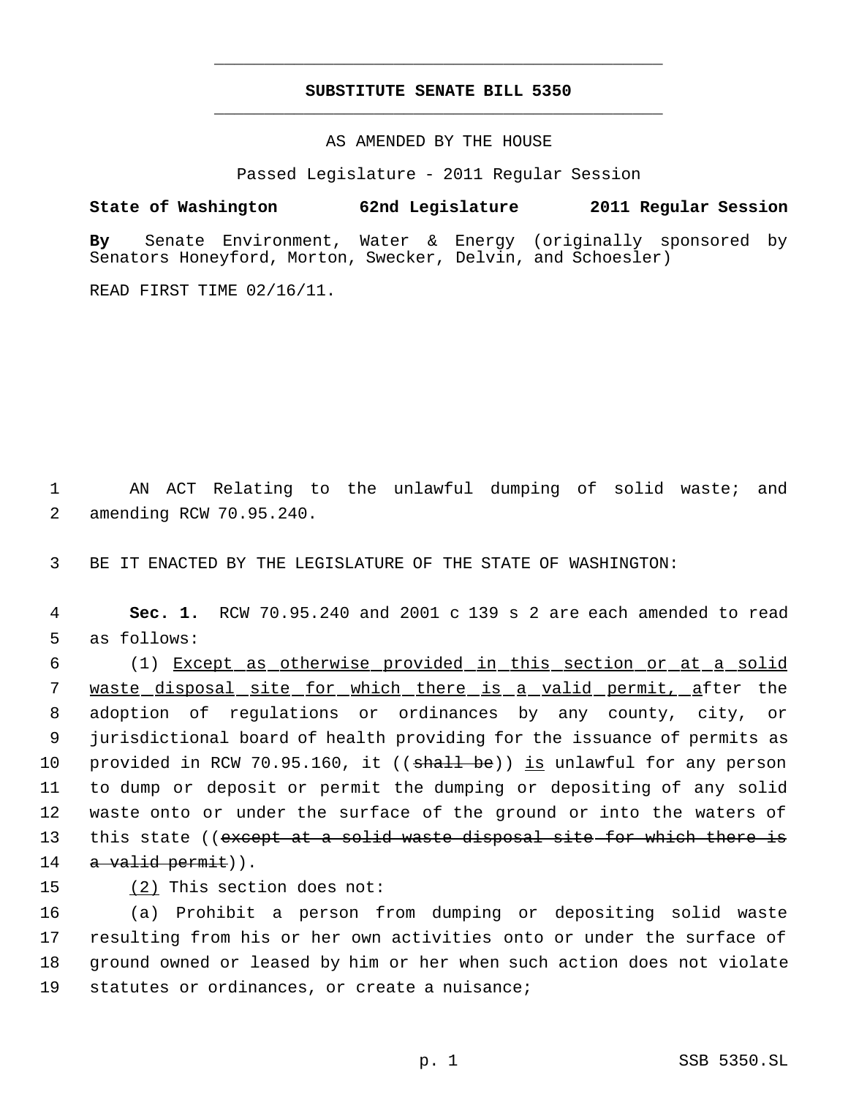## **SUBSTITUTE SENATE BILL 5350** \_\_\_\_\_\_\_\_\_\_\_\_\_\_\_\_\_\_\_\_\_\_\_\_\_\_\_\_\_\_\_\_\_\_\_\_\_\_\_\_\_\_\_\_\_

\_\_\_\_\_\_\_\_\_\_\_\_\_\_\_\_\_\_\_\_\_\_\_\_\_\_\_\_\_\_\_\_\_\_\_\_\_\_\_\_\_\_\_\_\_

AS AMENDED BY THE HOUSE

Passed Legislature - 2011 Regular Session

**State of Washington 62nd Legislature 2011 Regular Session By** Senate Environment, Water & Energy (originally sponsored by

Senators Honeyford, Morton, Swecker, Delvin, and Schoesler)

READ FIRST TIME 02/16/11.

 1 AN ACT Relating to the unlawful dumping of solid waste; and 2 amending RCW 70.95.240.

3 BE IT ENACTED BY THE LEGISLATURE OF THE STATE OF WASHINGTON:

 4 **Sec. 1.** RCW 70.95.240 and 2001 c 139 s 2 are each amended to read 5 as follows:

 6 (1) Except as otherwise provided in this section or at a solid 7 waste disposal site for which there is a valid permit, after the 8 adoption of regulations or ordinances by any county, city, or 9 jurisdictional board of health providing for the issuance of permits as 10 provided in RCW 70.95.160, it ((shall be)) is unlawful for any person 11 to dump or deposit or permit the dumping or depositing of any solid 12 waste onto or under the surface of the ground or into the waters of 13 this state ((except at a solid waste disposal site for which there is 14 a valid permit)).

15 (2) This section does not:

 (a) Prohibit a person from dumping or depositing solid waste resulting from his or her own activities onto or under the surface of ground owned or leased by him or her when such action does not violate statutes or ordinances, or create a nuisance;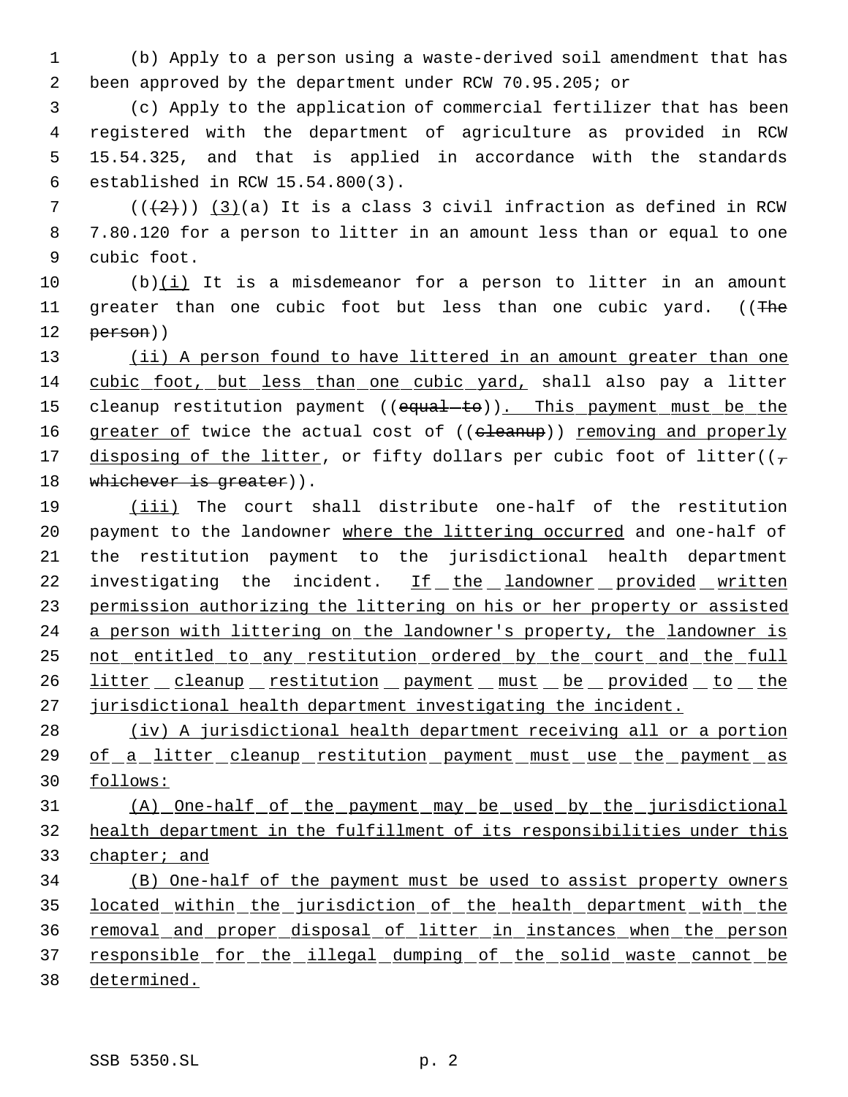(b) Apply to a person using a waste-derived soil amendment that has been approved by the department under RCW 70.95.205; or

 (c) Apply to the application of commercial fertilizer that has been registered with the department of agriculture as provided in RCW 15.54.325, and that is applied in accordance with the standards established in RCW 15.54.800(3).

 $((+2)^{n})$  (3)(a) It is a class 3 civil infraction as defined in RCW 7.80.120 for a person to litter in an amount less than or equal to one cubic foot.

10  $(b)(i)$  It is a misdemeanor for a person to litter in an amount 11 greater than one cubic foot but less than one cubic yard. ((The person))

13 (ii) A person found to have littered in an amount greater than one cubic foot, but less than one cubic yard, shall also pay a litter 15 cleanup restitution payment ((equal-to)). This payment must be the 16 greater of twice the actual cost of ((eleanup)) removing and properly 17 disposing of the litter, or fifty dollars per cubic foot of litter( $(\tau$ 18 whichever is greater)).

 (iii) The court shall distribute one-half of the restitution 20 payment to the landowner where the littering occurred and one-half of the restitution payment to the jurisdictional health department 22 investigating the incident. If the landowner provided written permission authorizing the littering on his or her property or assisted 24 a person with littering on the landowner's property, the landowner is not entitled to any restitution ordered by the court and the full 26 litter cleanup restitution payment must be provided to the jurisdictional health department investigating the incident.

 (iv) A jurisdictional health department receiving all or a portion 29 of a litter cleanup restitution payment must use the payment as follows:

 (A) One-half of the payment may be used by the jurisdictional health department in the fulfillment of its responsibilities under this chapter; and

 (B) One-half of the payment must be used to assist property owners 35 located within the jurisdiction of the health department with the removal and proper disposal of litter in instances when the person 37 responsible for the illegal dumping of the solid waste cannot be determined.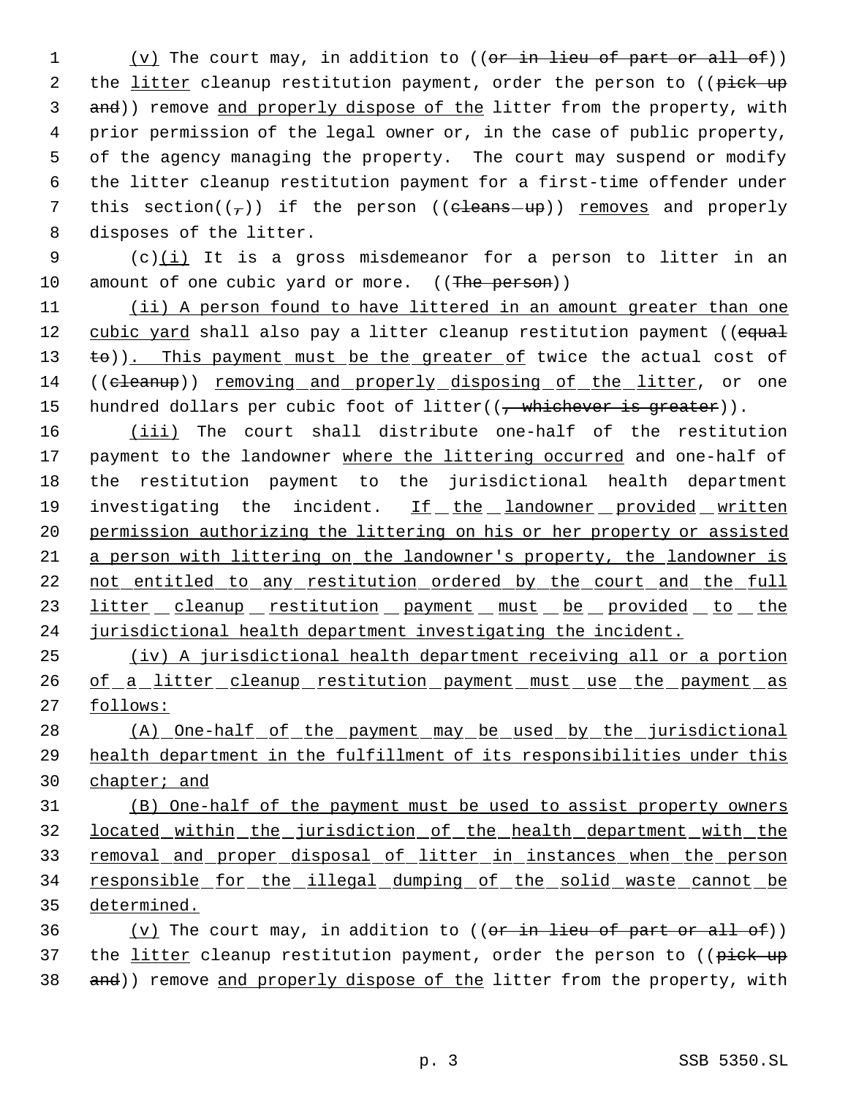1 (v) The court may, in addition to ((or in lieu of part or all of)) 2 the litter cleanup restitution payment, order the person to ((pick up 3 and)) remove and properly dispose of the litter from the property, with 4 prior permission of the legal owner or, in the case of public property, 5 of the agency managing the property. The court may suspend or modify 6 the litter cleanup restitution payment for a first-time offender under 7 this section( $(\tau)$ ) if the person (( $\epsilon$ leans-up)) removes and properly 8 disposes of the litter.

9 (c) $(i)$  It is a gross misdemeanor for a person to litter in an 10 amount of one cubic yard or more. ((The person))

11 (ii) A person found to have littered in an amount greater than one 12 cubic yard shall also pay a litter cleanup restitution payment ((equal 13 to)). This payment must be the greater of twice the actual cost of 14 ((cleanup)) removing and properly disposing of the litter, or one 15 hundred dollars per cubic foot of litter( $(\frac{1}{2} + \frac{1}{2})$  whichever is greater)).

16 (iii) The court shall distribute one-half of the restitution 17 payment to the landowner where the littering occurred and one-half of 18 the restitution payment to the jurisdictional health department 19 investigating the incident. If the landowner provided written 20 permission authorizing the littering on his or her property or assisted 21 a person with littering on the landowner's property, the landowner is 22 not entitled to any restitution ordered by the court and the full 23 litter cleanup restitution payment must be provided to the 24 jurisdictional health department investigating the incident.

25 (iv) A jurisdictional health department receiving all or a portion 26 of a litter cleanup restitution payment must use the payment as 27 follows:

28 (A) One-half of the payment may be used by the jurisdictional 29 health department in the fulfillment of its responsibilities under this 30 chapter; and

31 (B) One-half of the payment must be used to assist property owners 32 located within the jurisdiction of the health department with the 33 removal and proper disposal of litter in instances when the person 34 responsible for the illegal dumping of the solid waste cannot be 35 determined.

36 (v) The court may, in addition to  $((or in *lieu* of part or all of))$ 37 the litter cleanup restitution payment, order the person to ((pick up 38 and)) remove and properly dispose of the litter from the property, with